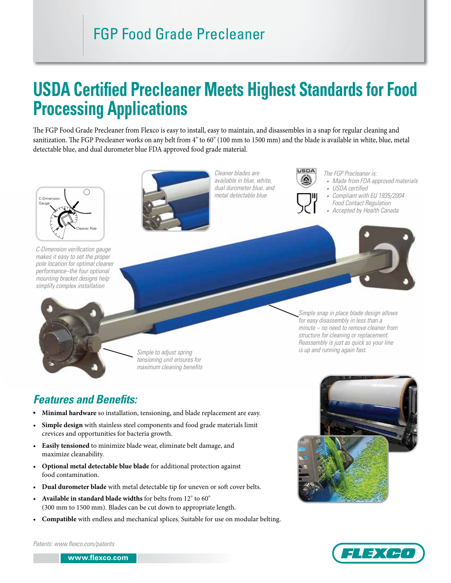## FGP Food Grade Precleaner

# **USDA Certified Precleaner Meets Highest Standards for Food Processing Applications**

The FGP Food Grade Precleaner from Flexco is easy to install, easy to maintain, and disassembles in a snap for regular cleaning and sanitization. The FGP Precleaner works on any belt from 4" to 60" (100 mm to 1500 mm) and the blade is available in white, blue, metal detectable blue, and dual durometer blue FDA approved food grade material.



*C-Dimension verification gauge makes it easy to set the proper pole location for optimal cleaner performance–the four optional mounting bracket designs help simplify complex installation*



*Cleaner blades are available in blue, white, dual durometer blue, and metal detectable blue*



*The FGP Precleaner is:*

- *• Made from FDA approved materials*
- *• USDA certified*

*Simple snap in place blade design allows for easy disassembly in less than a minute – no need to remove cleaner from structure for cleaning or replacement. Reassembly is just as quick so your line* 

*is up and running again fast.*

- *• Compliant with EU 1935/2004 Food Contact Regulation*
- *• Accepted by Health Canada*

*Simple to adjust spring tensioning unit ensures for maximum cleaning benefits*

### *Features and Benefits:*

- **Minimal hardware** so installation, tensioning, and blade replacement are easy.
- **Simple design** with stainless steel components and food grade materials limit crevices and opportunities for bacteria growth.
- **Easily tensioned** to minimize blade wear, eliminate belt damage, and maximize cleanability.
- **Optional metal detectable blue blade** for additional protection against food contamination.
- **Dual durometer blade** with metal detectable tip for uneven or soft cover belts.
- **Available in standard blade widths** for belts from 12" to 60" (300 mm to 1500 mm). Blades can be cut down to appropriate length.
- **Compatible** with endless and mechanical splices. Suitable for use on modular belting.





*Patents: www.flexco.com/patents*

**www.flexco.com www.flexco.com**